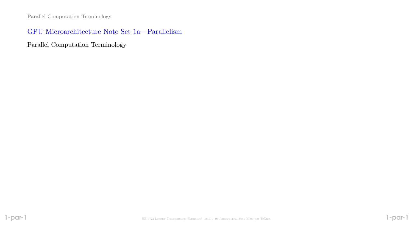## GPU Microarchitecture Note Set 1a—Parallelism

Parallel Computation Terminology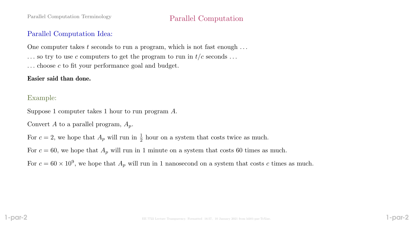# Parallel Computation Terminology Parallel Computation

# Parallel Computation Idea:

One computer takes t seconds to run a program, which is not fast enough  $\dots$ 

- $\ldots$  so try to use c computers to get the program to run in  $t/c$  seconds  $\ldots$
- $\ldots$  choose c to fit your performance goal and budget.

## Easier said than done.

# Example:

Suppose 1 computer takes 1 hour to run program A.

Convert A to a parallel program,  $A_p$ .

For  $c = 2$ , we hope that  $A_p$  will run in  $\frac{1}{2}$  hour on a system that costs twice as much.

For  $c = 60$ , we hope that  $A_p$  will run in 1 minute on a system that costs 60 times as much.

For  $c = 60 \times 10^9$ , we hope that  $A_p$  will run in 1 nanosecond on a system that costs c times as much.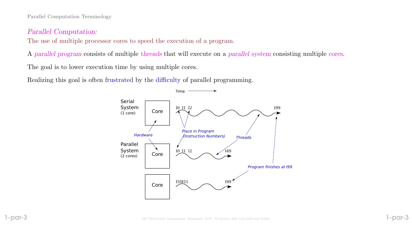Parallel Computation Terminology

#### Parallel Computation:

The use of multiple processor cores to speed the execution of a program.

A parallel program consists of multiple threads that will execute on a parallel system consisting multiple cores.

The goal is to lower execution time by using multiple cores.

Realizing this goal is often frustrated by the difficulty of parallel programming.

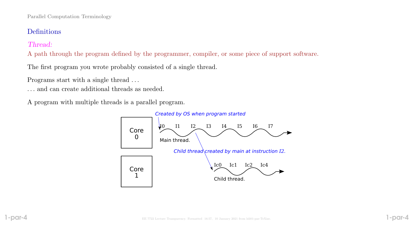# Definitions

# Thread:

A path through the program defined by the programmer, compiler, or some piece of support software.

The first program you wrote probably consisted of a single thread.

Programs start with a single thread . . .

. . . and can create additional threads as needed.

A program with multiple threads is a parallel program.

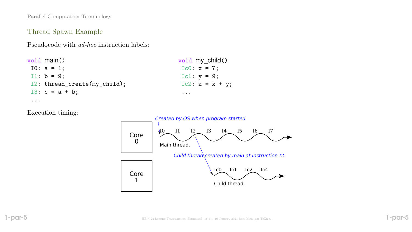Parallel Computation Terminology

### Thread Spawn Example

Pseudocode with ad-hoc instruction labels:

| void main()                  | void my child()   |
|------------------------------|-------------------|
| $10: a = 1;$                 | $Ic0: x = 7;$     |
| I1: $b = 9$ :                | Ic1: $y = 9$ ;    |
| I2: thread_create(my_child); | $Ic2: z = x + y;$ |
| $I3: c = a + b;$             | $\cdots$          |
|                              |                   |

Execution timing:

...

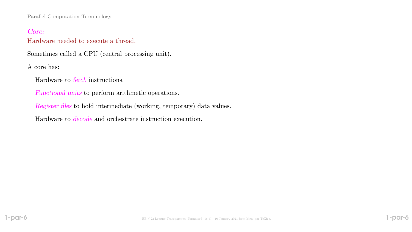Parallel Computation Terminology

### Core:

#### Hardware needed to execute a thread.

Sometimes called a CPU (central processing unit).

A core has:

Hardware to fetch instructions.

Functional units to perform arithmetic operations.

Register files to hold intermediate (working, temporary) data values.

Hardware to decode and orchestrate instruction execution.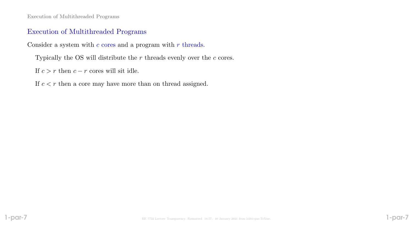Execution of Multithreaded Programs

### Execution of Multithreaded Programs

Consider a system with  $c$  cores and a program with  $r$  threads.

Typically the OS will distribute the  $r$  threads evenly over the  $c$  cores.

If  $c > r$  then  $c - r$  cores will sit idle.

If  $c < r$  then a core may have more than on thread assigned.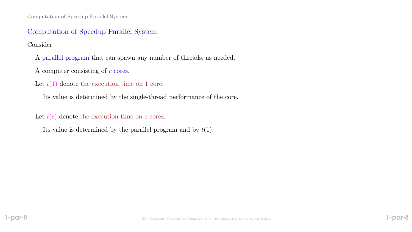Computation of Speedup Parallel System

### Computation of Speedup Parallel System

#### Consider

A parallel program that can spawn any number of threads, as needed.

A computer consisting of  $c$  cores.

Let  $t(1)$  denote the execution time on 1 core.

Its value is determined by the single-thread performance of the core.

Let  $t(c)$  denote the execution time on c cores.

Its value is determined by the parallel program and by  $t(1)$ .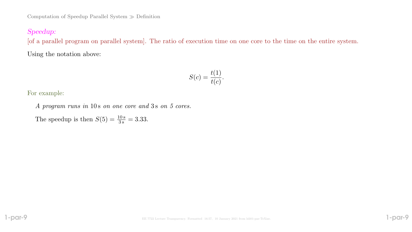# Speedup:

[of a parallel program on parallel system]. The ratio of execution time on one core to the time on the entire system.

Using the notation above:

$$
S(c) = \frac{t(1)}{t(c)}.
$$

For example:

A program runs in 10s on one core and 3s on 5 cores.

The speedup is then  $S(5) = \frac{10 \text{ s}}{3 \text{ s}} = 3.33$ .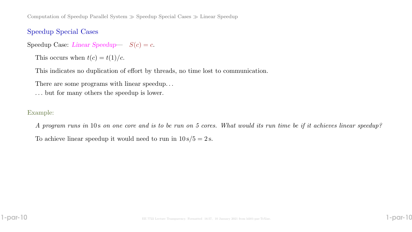Computation of Speedup Parallel System  $\gg$  Speedup Special Cases  $\gg$  Linear Speedup

## Speedup Special Cases

Speedup Case: Linear Speedup-  $S(c) = c$ .

This occurs when  $t(c) = t(1)/c$ .

This indicates no duplication of effort by threads, no time lost to communication.

There are some programs with linear speedup. . .

. . . but for many others the speedup is lower.

#### Example:

A program runs in 10 s on one core and is to be run on 5 cores. What would its run time be if it achieves linear speedup? To achieve linear speedup it would need to run in  $10 s/5 = 2 s$ .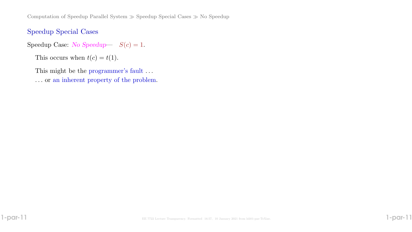Computation of Speedup Parallel System  $\gg$  Speedup Special Cases  $\gg$  No Speedup

## Speedup Special Cases

Speedup Case: No Speedup-  $S(c) = 1$ .

This occurs when  $t(c) = t(1)$ .

This might be the programmer's fault ...

. . . or an inherent property of the problem.